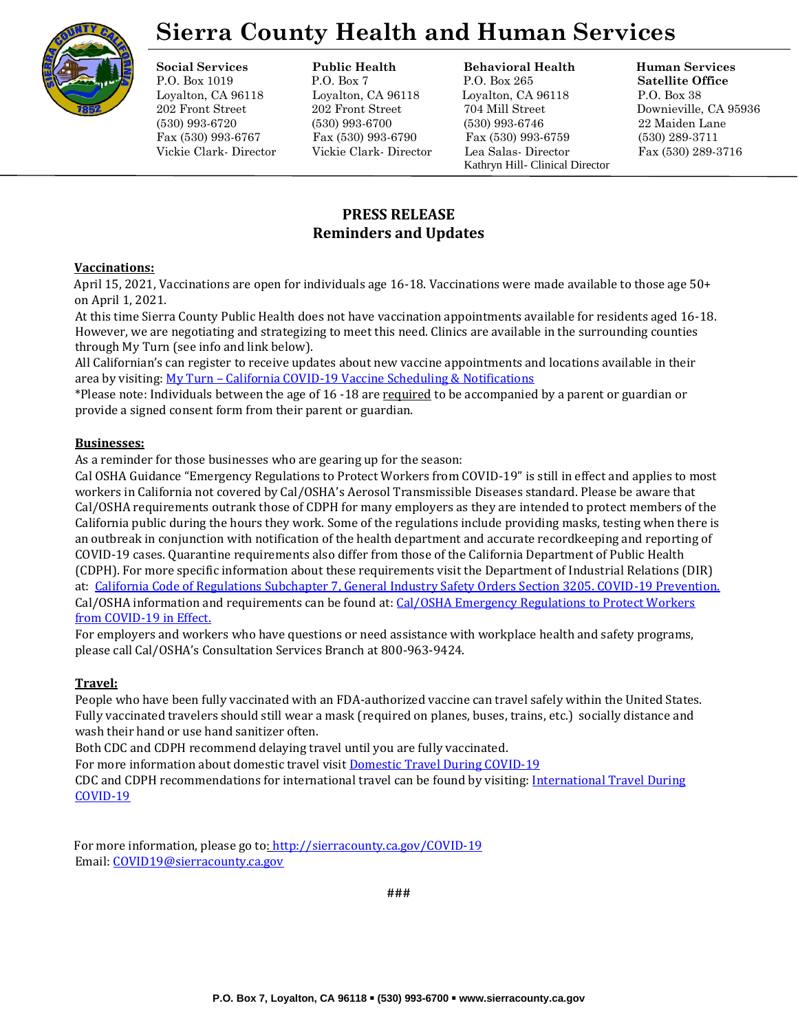

# **Sierra County Health and Human Services**

# **Social Services Public Health Behavioral Health Human Services**

P.O. Box 1019 P.O. Box 7 P.O. Box 265 **Satellite Office** Loyalton, CA 96118 Loyalton, CA 96118 Loyalton, CA 96118 P.O. Box 38 202 Front Street 202 Front Street 704 Mill Street Downieville, CA 95936 (530) 993-6720 (530) 993-6700 (530) 993-6746 22 Maiden Lane Fax (530) 993-6767 Fax (530) 993-6790 Fax (530) 993-6759 (530) 289-3711 Vickie Clark- Director Vickie Clark- Director Lea Salas- Director Fax (530) 289-3716 Kathryn Hill- Clinical Director

# **PRESS RELEASE Reminders and Updates**

# **Vaccinations:**

April 15, 2021, Vaccinations are open for individuals age 16-18. Vaccinations were made available to those age 50+ on April 1, 2021.

At this time Sierra County Public Health does not have vaccination appointments available for residents aged 16-18. However, we are negotiating and strategizing to meet this need. Clinics are available in the surrounding counties through My Turn (see info and link below).

All Californian's can register to receive updates about new vaccine appointments and locations available in their area by visiting: My Turn – [California COVID-19 Vaccine Scheduling & Notifications](https://myturn.ca.gov/)

\*Please note: Individuals between the age of 16 -18 are required to be accompanied by a parent or guardian or provide a signed consent form from their parent or guardian.

### **Businesses:**

As a reminder for those businesses who are gearing up for the season:

Cal OSHA Guidance "Emergency Regulations to Protect Workers from COVID-19" is still in effect and applies to most workers in California not covered by Cal/OSHA's Aerosol Transmissible Diseases standard. Please be aware that Cal/OSHA requirements outrank those of CDPH for many employers as they are intended to protect members of the California public during the hours they work. Some of the regulations include providing masks, testing when there is an outbreak in conjunction with notification of the health department and accurate recordkeeping and reporting of COVID-19 cases. Quarantine requirements also differ from those of the California Department of Public Health (CDPH). For more specific information about these requirements visit the Department of Industrial Relations (DIR) at: [California Code of Regulations Subchapter 7, General Industry Safety Orders Section 3205. COVID-19 Prevention.](https://www.dir.ca.gov/title8/3205.html) Cal/OSHA information and requirements can be found at[: Cal/OSHA Emergency Regulations to Protect Workers](https://www.dir.ca.gov/DIRNews/2020/2020-99.html)  [from COVID-19 in Effect.](https://www.dir.ca.gov/DIRNews/2020/2020-99.html)

For employers and workers who have questions or need assistance with workplace health and safety programs, please call Cal/OSHA's Consultation Services Branch at 800-963-9424.

# **Travel:**

People who have been fully vaccinated with an FDA-authorized vaccine can travel safely within the United States. Fully vaccinated travelers should still wear a mask (required on planes, buses, trains, etc.) socially distance and wash their hand or use hand sanitizer often.

Both CDC and CDPH recommend delaying travel until you are fully vaccinated.

For more information about domestic travel visit [Domestic Travel During COVID-19](https://www.cdc.gov/coronavirus/2019-ncov/travelers/travel-during-covid19.html)

CDC and CDPH recommendations for international travel can be found by visiting[: International Travel During](https://www.cdc.gov/coronavirus/2019-ncov/travelers/international-travel-during-covid19.html)  [COVID-19](https://www.cdc.gov/coronavirus/2019-ncov/travelers/international-travel-during-covid19.html)

For more information, please go t[o: http://sierracounty.ca.gov/COVID-19](http://sierracounty.ca.gov/582/Coronavirus-COVID-19) Email: [COVID19@sierracounty.ca.gov](mailto:COVID19@sierracounty.ca.gov)

**###**